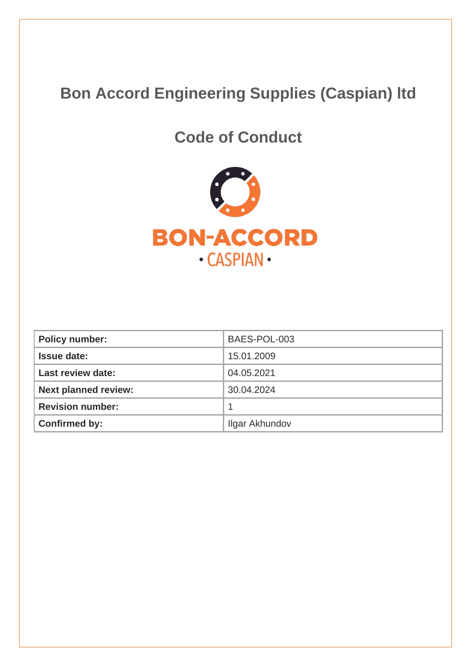# **Bon Accord Engineering Supplies (Caspian) ltd**

# **Code of Conduct**



| <b>Policy number:</b>       | BAES-POL-003   |
|-----------------------------|----------------|
| <b>Issue date:</b>          | 15.01.2009     |
| <b>Last review date:</b>    | 04.05.2021     |
| <b>Next planned review:</b> | 30.04.2024     |
| <b>Revision number:</b>     |                |
| <b>Confirmed by:</b>        | Ilgar Akhundov |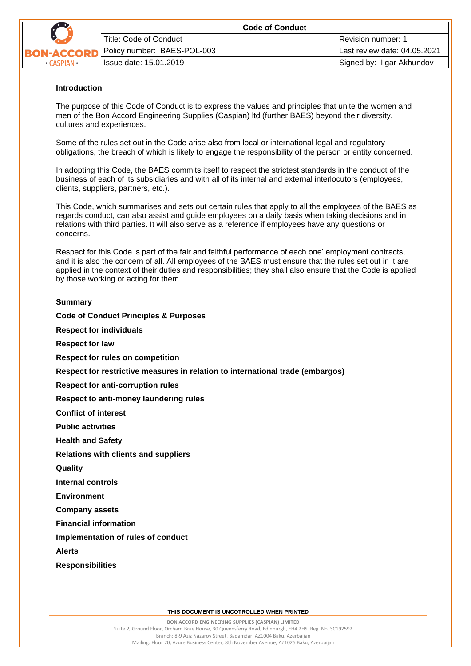

|  | <b>Code of Conduct</b>                |                              |
|--|---------------------------------------|------------------------------|
|  | Title: Code of Conduct                | Revision number: 1           |
|  | <b>RD</b> Policy number: BAES-POL-003 | Last review date: 04.05.2021 |
|  | Issue date: 15.01.2019                | Signed by: Ilgar Akhundov    |

#### **Introduction**

The purpose of this Code of Conduct is to express the values and principles that unite the women and men of the Bon Accord Engineering Supplies (Caspian) ltd (further BAES) beyond their diversity, cultures and experiences.

Some of the rules set out in the Code arise also from local or international legal and regulatory obligations, the breach of which is likely to engage the responsibility of the person or entity concerned.

In adopting this Code, the BAES commits itself to respect the strictest standards in the conduct of the business of each of its subsidiaries and with all of its internal and external interlocutors (employees, clients, suppliers, partners, etc.).

This Code, which summarises and sets out certain rules that apply to all the employees of the BAES as regards conduct, can also assist and guide employees on a daily basis when taking decisions and in relations with third parties. It will also serve as a reference if employees have any questions or concerns.

Respect for this Code is part of the fair and faithful performance of each one' employment contracts, and it is also the concern of all. All employees of the BAES must ensure that the rules set out in it are applied in the context of their duties and responsibilities; they shall also ensure that the Code is applied by those working or acting for them.

#### **Summary**

**Respect for individuals Respect for law Respect for rules on competition Respect for restrictive measures in relation to international trade (embargos) Respect for anti-corruption rules Respect to anti-money laundering rules Conflict of interest Public activities Health and Safety Relations with clients and suppliers Quality Internal controls Environment Company assets Financial information Implementation of rules of conduct Alerts Responsibilities**

**Code of Conduct Principles & Purposes**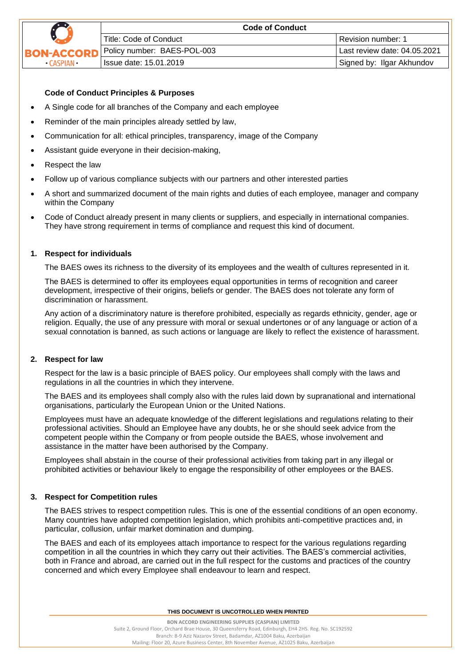

## **Code of Conduct Principles & Purposes**

- A Single code for all branches of the Company and each employee
- Reminder of the main principles already settled by law,
- Communication for all: ethical principles, transparency, image of the Company
- Assistant guide everyone in their decision-making,
- Respect the law
- Follow up of various compliance subjects with our partners and other interested parties
- A short and summarized document of the main rights and duties of each employee, manager and company within the Company
- Code of Conduct already present in many clients or suppliers, and especially in international companies. They have strong requirement in terms of compliance and request this kind of document.

# **1. Respect for individuals**

The BAES owes its richness to the diversity of its employees and the wealth of cultures represented in it.

The BAES is determined to offer its employees equal opportunities in terms of recognition and career development, irrespective of their origins, beliefs or gender. The BAES does not tolerate any form of discrimination or harassment.

Any action of a discriminatory nature is therefore prohibited, especially as regards ethnicity, gender, age or religion. Equally, the use of any pressure with moral or sexual undertones or of any language or action of a sexual connotation is banned, as such actions or language are likely to reflect the existence of harassment.

## **2. Respect for law**

Respect for the law is a basic principle of BAES policy. Our employees shall comply with the laws and regulations in all the countries in which they intervene.

The BAES and its employees shall comply also with the rules laid down by supranational and international organisations, particularly the European Union or the United Nations.

Employees must have an adequate knowledge of the different legislations and regulations relating to their professional activities. Should an Employee have any doubts, he or she should seek advice from the competent people within the Company or from people outside the BAES, whose involvement and assistance in the matter have been authorised by the Company.

Employees shall abstain in the course of their professional activities from taking part in any illegal or prohibited activities or behaviour likely to engage the responsibility of other employees or the BAES.

## **3. Respect for Competition rules**

The BAES strives to respect competition rules. This is one of the essential conditions of an open economy. Many countries have adopted competition legislation, which prohibits anti-competitive practices and, in particular, collusion, unfair market domination and dumping.

The BAES and each of its employees attach importance to respect for the various regulations regarding competition in all the countries in which they carry out their activities. The BAES's commercial activities, both in France and abroad, are carried out in the full respect for the customs and practices of the country concerned and which every Employee shall endeavour to learn and respect.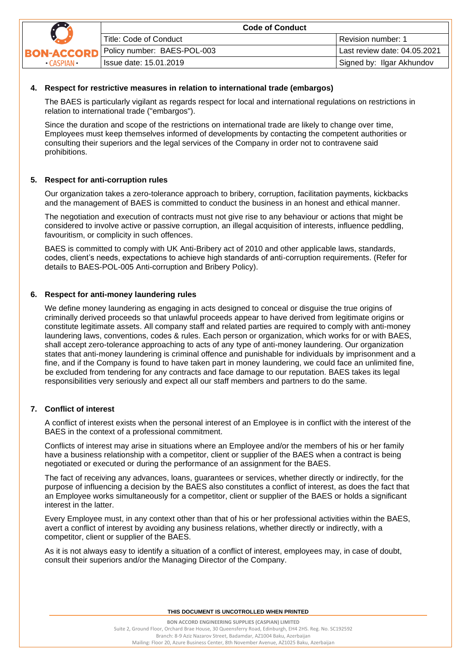

## **4. Respect for restrictive measures in relation to international trade (embargos)**

The BAES is particularly vigilant as regards respect for local and international regulations on restrictions in relation to international trade ("embargos").

Since the duration and scope of the restrictions on international trade are likely to change over time, Employees must keep themselves informed of developments by contacting the competent authorities or consulting their superiors and the legal services of the Company in order not to contravene said prohibitions.

#### **5. Respect for anti-corruption rules**

Our organization takes a zero-tolerance approach to bribery, corruption, facilitation payments, kickbacks and the management of BAES is committed to conduct the business in an honest and ethical manner.

The negotiation and execution of contracts must not give rise to any behaviour or actions that might be considered to involve active or passive corruption, an illegal acquisition of interests, influence peddling, favouritism, or complicity in such offences.

BAES is committed to comply with UK Anti-Bribery act of 2010 and other applicable laws, standards, codes, client's needs, expectations to achieve high standards of anti-corruption requirements. (Refer for details to BAES-POL-005 Anti-corruption and Bribery Policy).

#### **6. Respect for anti-money laundering rules**

We define money laundering as engaging in acts designed to conceal or disguise the true origins of criminally derived proceeds so that unlawful proceeds appear to have derived from legitimate origins or constitute legitimate assets. All company staff and related parties are required to comply with anti-money laundering laws, conventions, codes & rules. Each person or organization, which works for or with BAES, shall accept zero-tolerance approaching to acts of any type of anti-money laundering. Our organization states that anti-money laundering is criminal offence and punishable for individuals by imprisonment and a fine, and if the Company is found to have taken part in money laundering, we could face an unlimited fine, be excluded from tendering for any contracts and face damage to our reputation. BAES takes its legal responsibilities very seriously and expect all our staff members and partners to do the same.

## **7. Conflict of interest**

A conflict of interest exists when the personal interest of an Employee is in conflict with the interest of the BAES in the context of a professional commitment.

Conflicts of interest may arise in situations where an Employee and/or the members of his or her family have a business relationship with a competitor, client or supplier of the BAES when a contract is being negotiated or executed or during the performance of an assignment for the BAES.

The fact of receiving any advances, loans, guarantees or services, whether directly or indirectly, for the purpose of influencing a decision by the BAES also constitutes a conflict of interest, as does the fact that an Employee works simultaneously for a competitor, client or supplier of the BAES or holds a significant interest in the latter.

Every Employee must, in any context other than that of his or her professional activities within the BAES, avert a conflict of interest by avoiding any business relations, whether directly or indirectly, with a competitor, client or supplier of the BAES.

As it is not always easy to identify a situation of a conflict of interest, employees may, in case of doubt, consult their superiors and/or the Managing Director of the Company.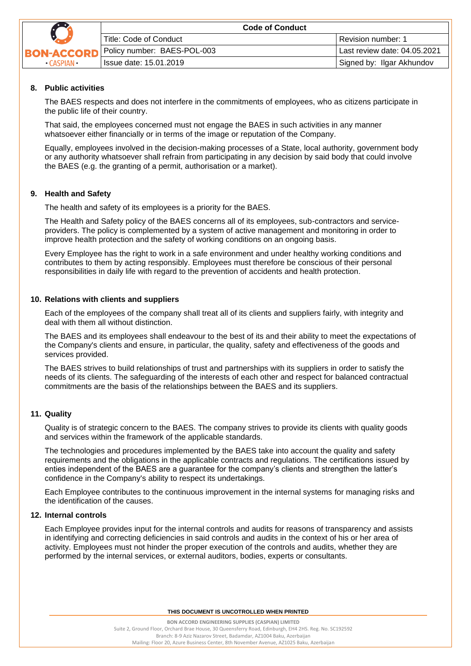

|  | <b>Code of Conduct</b>      |                              |
|--|-----------------------------|------------------------------|
|  | l Title: Code of Conduct    | Revision number: 1           |
|  | Policy number: BAES-POL-003 | Last review date: 04.05.2021 |
|  | l Issue date: 15.01.2019    | Signed by: Ilgar Akhundov    |

## **8. Public activities**

The BAES respects and does not interfere in the commitments of employees, who as citizens participate in the public life of their country.

That said, the employees concerned must not engage the BAES in such activities in any manner whatsoever either financially or in terms of the image or reputation of the Company.

Equally, employees involved in the decision-making processes of a State, local authority, government body or any authority whatsoever shall refrain from participating in any decision by said body that could involve the BAES (e.g. the granting of a permit, authorisation or a market).

## **9. Health and Safety**

The health and safety of its employees is a priority for the BAES.

The Health and Safety policy of the BAES concerns all of its employees, sub-contractors and serviceproviders. The policy is complemented by a system of active management and monitoring in order to improve health protection and the safety of working conditions on an ongoing basis.

Every Employee has the right to work in a safe environment and under healthy working conditions and contributes to them by acting responsibly. Employees must therefore be conscious of their personal responsibilities in daily life with regard to the prevention of accidents and health protection.

## **10. Relations with clients and suppliers**

Each of the employees of the company shall treat all of its clients and suppliers fairly, with integrity and deal with them all without distinction.

The BAES and its employees shall endeavour to the best of its and their ability to meet the expectations of the Company's clients and ensure, in particular, the quality, safety and effectiveness of the goods and services provided.

The BAES strives to build relationships of trust and partnerships with its suppliers in order to satisfy the needs of its clients. The safeguarding of the interests of each other and respect for balanced contractual commitments are the basis of the relationships between the BAES and its suppliers.

## **11. Quality**

Quality is of strategic concern to the BAES. The company strives to provide its clients with quality goods and services within the framework of the applicable standards.

The technologies and procedures implemented by the BAES take into account the quality and safety requirements and the obligations in the applicable contracts and regulations. The certifications issued by enties independent of the BAES are a guarantee for the company's clients and strengthen the latter's confidence in the Company's ability to respect its undertakings.

Each Employee contributes to the continuous improvement in the internal systems for managing risks and the identification of the causes.

## **12. Internal controls**

Each Employee provides input for the internal controls and audits for reasons of transparency and assists in identifying and correcting deficiencies in said controls and audits in the context of his or her area of activity. Employees must not hinder the proper execution of the controls and audits, whether they are performed by the internal services, or external auditors, bodies, experts or consultants.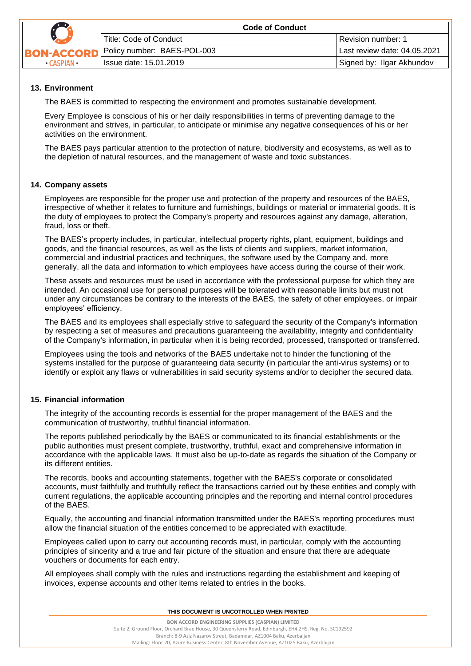

|     | <b>Code of Conduct</b>      |                              |
|-----|-----------------------------|------------------------------|
|     | Title: Code of Conduct      | Revision number: 1           |
| ORD | Policy number: BAES-POL-003 | Last review date: 04.05.2021 |
|     | Issue date: 15.01.2019      | Signed by: Ilgar Akhundov    |

# **13. Environment**

The BAES is committed to respecting the environment and promotes sustainable development.

Every Employee is conscious of his or her daily responsibilities in terms of preventing damage to the environment and strives, in particular, to anticipate or minimise any negative consequences of his or her activities on the environment.

The BAES pays particular attention to the protection of nature, biodiversity and ecosystems, as well as to the depletion of natural resources, and the management of waste and toxic substances.

# **14. Company assets**

Employees are responsible for the proper use and protection of the property and resources of the BAES, irrespective of whether it relates to furniture and furnishings, buildings or material or immaterial goods. It is the duty of employees to protect the Company's property and resources against any damage, alteration, fraud, loss or theft.

The BAES's property includes, in particular, intellectual property rights, plant, equipment, buildings and goods, and the financial resources, as well as the lists of clients and suppliers, market information, commercial and industrial practices and techniques, the software used by the Company and, more generally, all the data and information to which employees have access during the course of their work.

These assets and resources must be used in accordance with the professional purpose for which they are intended. An occasional use for personal purposes will be tolerated with reasonable limits but must not under any circumstances be contrary to the interests of the BAES, the safety of other employees, or impair employees' efficiency.

The BAES and its employees shall especially strive to safeguard the security of the Company's information by respecting a set of measures and precautions guaranteeing the availability, integrity and confidentiality of the Company's information, in particular when it is being recorded, processed, transported or transferred.

Employees using the tools and networks of the BAES undertake not to hinder the functioning of the systems installed for the purpose of guaranteeing data security (in particular the anti-virus systems) or to identify or exploit any flaws or vulnerabilities in said security systems and/or to decipher the secured data.

## **15. Financial information**

The integrity of the accounting records is essential for the proper management of the BAES and the communication of trustworthy, truthful financial information.

The reports published periodically by the BAES or communicated to its financial establishments or the public authorities must present complete, trustworthy, truthful, exact and comprehensive information in accordance with the applicable laws. It must also be up-to-date as regards the situation of the Company or its different entities.

The records, books and accounting statements, together with the BAES's corporate or consolidated accounts, must faithfully and truthfully reflect the transactions carried out by these entities and comply with current regulations, the applicable accounting principles and the reporting and internal control procedures of the BAES.

Equally, the accounting and financial information transmitted under the BAES's reporting procedures must allow the financial situation of the entities concerned to be appreciated with exactitude.

Employees called upon to carry out accounting records must, in particular, comply with the accounting principles of sincerity and a true and fair picture of the situation and ensure that there are adequate vouchers or documents for each entry.

All employees shall comply with the rules and instructions regarding the establishment and keeping of invoices, expense accounts and other items related to entries in the books.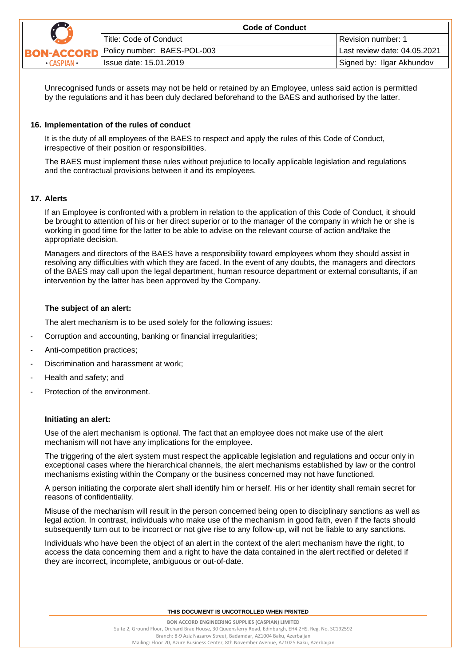

|      | <b>Code of Conduct</b>                  |                              |
|------|-----------------------------------------|------------------------------|
|      | Title: Code of Conduct                  | Revision number: 1           |
|      | <b>CORD</b> Policy number: BAES-POL-003 | Last review date: 04.05.2021 |
| AN • | Issue date: 15.01.2019                  | Signed by: Ilgar Akhundov    |

Unrecognised funds or assets may not be held or retained by an Employee, unless said action is permitted by the regulations and it has been duly declared beforehand to the BAES and authorised by the latter.

#### **16. Implementation of the rules of conduct**

It is the duty of all employees of the BAES to respect and apply the rules of this Code of Conduct, irrespective of their position or responsibilities.

The BAES must implement these rules without prejudice to locally applicable legislation and regulations and the contractual provisions between it and its employees.

## **17. Alerts**

If an Employee is confronted with a problem in relation to the application of this Code of Conduct, it should be brought to attention of his or her direct superior or to the manager of the company in which he or she is working in good time for the latter to be able to advise on the relevant course of action and/take the appropriate decision.

Managers and directors of the BAES have a responsibility toward employees whom they should assist in resolving any difficulties with which they are faced. In the event of any doubts, the managers and directors of the BAES may call upon the legal department, human resource department or external consultants, if an intervention by the latter has been approved by the Company.

#### **The subject of an alert:**

The alert mechanism is to be used solely for the following issues:

- Corruption and accounting, banking or financial irregularities;
- Anti-competition practices;
- Discrimination and harassment at work;
- Health and safety; and
- Protection of the environment.

#### **Initiating an alert:**

Use of the alert mechanism is optional. The fact that an employee does not make use of the alert mechanism will not have any implications for the employee.

The triggering of the alert system must respect the applicable legislation and regulations and occur only in exceptional cases where the hierarchical channels, the alert mechanisms established by law or the control mechanisms existing within the Company or the business concerned may not have functioned.

A person initiating the corporate alert shall identify him or herself. His or her identity shall remain secret for reasons of confidentiality.

Misuse of the mechanism will result in the person concerned being open to disciplinary sanctions as well as legal action. In contrast, individuals who make use of the mechanism in good faith, even if the facts should subsequently turn out to be incorrect or not give rise to any follow-up, will not be liable to any sanctions.

Individuals who have been the object of an alert in the context of the alert mechanism have the right, to access the data concerning them and a right to have the data contained in the alert rectified or deleted if they are incorrect, incomplete, ambiguous or out-of-date.